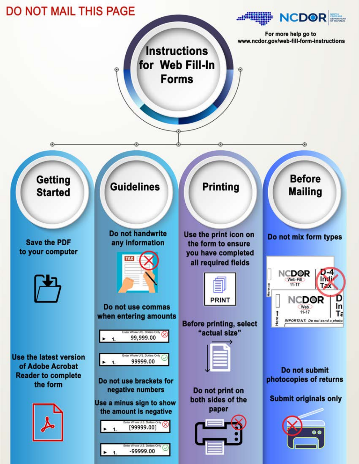